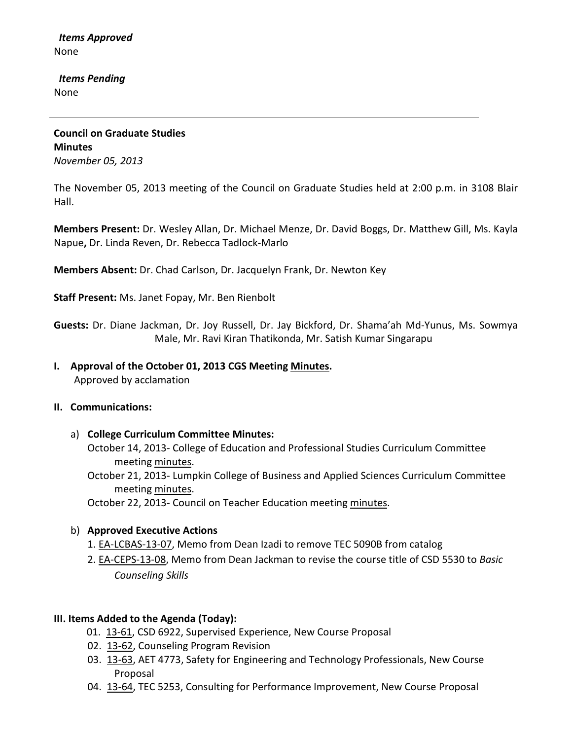*Items Approved* None

 *Items Pending* None

**Council on Graduate Studies Minutes** *November 05, 2013*

The November 05, 2013 meeting of the Council on Graduate Studies held at 2:00 p.m. in 3108 Blair Hall.

**Members Present:** Dr. Wesley Allan, Dr. Michael Menze, Dr. David Boggs, Dr. Matthew Gill, Ms. Kayla Napue**,** Dr. Linda Reven, Dr. Rebecca Tadlock-Marlo

**Members Absent:** Dr. Chad Carlson, Dr. Jacquelyn Frank, Dr. Newton Key

**Staff Present:** Ms. Janet Fopay, Mr. Ben Rienbolt

**Guests:** Dr. Diane Jackman, Dr. Joy Russell, Dr. Jay Bickford, Dr. Shama'ah Md-Yunus, Ms. Sowmya Male, Mr. Ravi Kiran Thatikonda, Mr. Satish Kumar Singarapu

**I. Approval of the October 01, 2013 CGS Meeting [Minutes.](http://castle.eiu.edu/eiucgs/currentminutes/Minutes10-01-13.pdf)** Approved by acclamation

#### **II. Communications:**

- a) **College Curriculum Committee Minutes:**
	- October 14, 2013- College of Education and Professional Studies Curriculum Committee meeting [minutes.](http://castle.eiu.edu/~eiucgs/currentagendaitems/CEPSMin10-14-13.pdf)
	- October 21, 2013- Lumpkin College of Business and Applied Sciences Curriculum Committee meeting [minutes.](http://castle.eiu.edu/~eiucgs/currentagendaitems/LCBASMin10-21-13.pdf)

October 22, 2013- Council on Teacher Education meeting [minutes.](http://castle.eiu.edu/~eiucgs/currentagendaitems/COTEMin10-22-13.pdf)

#### b) **Approved Executive Actions**

- 1. [EA-LCBAS-13-07,](http://castle.eiu.edu/~eiucgs/exec-actions/EA-LCBAS-13-07.pdf) Memo from Dean Izadi to remove TEC 5090B from catalog
- 2. [EA-CEPS-13-08,](http://castle.eiu.edu/~eiucgs/exec-actions/EA-CEPS-13-08.pdf) Memo from Dean Jackman to revise the course title of CSD 5530 to *Basic Counseling Skills*

#### **III. Items Added to the Agenda (Today):**

- 01. [13-61,](http://castle.eiu.edu/~eiucgs/currentagendaitems/agenda13-61.pdf) CSD 6922, Supervised Experience, New Course Proposal
- 02. [13-62,](http://castle.eiu.edu/~eiucgs/currentagendaitems/agenda13-62.pdf) Counseling Program Revision
- 03. [13-63,](http://castle.eiu.edu/~eiucgs/currentagendaitems/agenda13-63.pdf) AET 4773, Safety for Engineering and Technology Professionals, New Course Proposal
- 04. [13-64,](http://castle.eiu.edu/~eiucgs/currentagendaitems/agenda13-64.pdf) TEC 5253, Consulting for Performance Improvement, New Course Proposal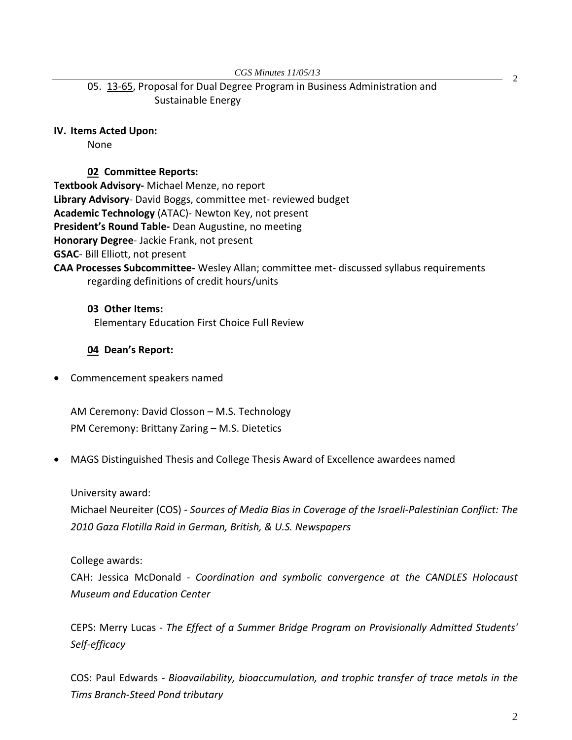*CGS Minutes 11/05/13*

05. [13-65,](http://castle.eiu.edu/~eiucgs/currentagendaitems/agenda13-65.pdf) Proposal for Dual Degree Program in Business Administration and Sustainable Energy

## **IV. Items Acted Upon:**

None

#### **02 Committee Reports:**

**Textbook Advisory-** Michael Menze, no report

**Library Advisory**- David Boggs, committee met- reviewed budget

**Academic Technology** (ATAC)- Newton Key, not present

**President's Round Table-** Dean Augustine, no meeting

**Honorary Degree**- Jackie Frank, not present

**GSAC**- Bill Elliott, not present

**CAA Processes Subcommittee-** Wesley Allan; committee met- discussed syllabus requirements regarding definitions of credit hours/units

**03 Other Items:**  Elementary Education First Choice Full Review

# **04 Dean's Report:**

• Commencement speakers named

AM Ceremony: David Closson – M.S. Technology PM Ceremony: Brittany Zaring – M.S. Dietetics

• MAGS Distinguished Thesis and College Thesis Award of Excellence awardees named

## University award:

Michael Neureiter (COS) - *Sources of Media Bias in Coverage of the Israeli-Palestinian Conflict: The 2010 Gaza Flotilla Raid in German, British, & U.S. Newspapers*

## College awards:

CAH: Jessica McDonald - *Coordination and symbolic convergence at the CANDLES Holocaust Museum and Education Center*

CEPS: Merry Lucas - *The Effect of a Summer Bridge Program on Provisionally Admitted Students' Self-efficacy*

COS: Paul Edwards - *Bioavailability, bioaccumulation, and trophic transfer of trace metals in the Tims Branch-Steed Pond tributary*